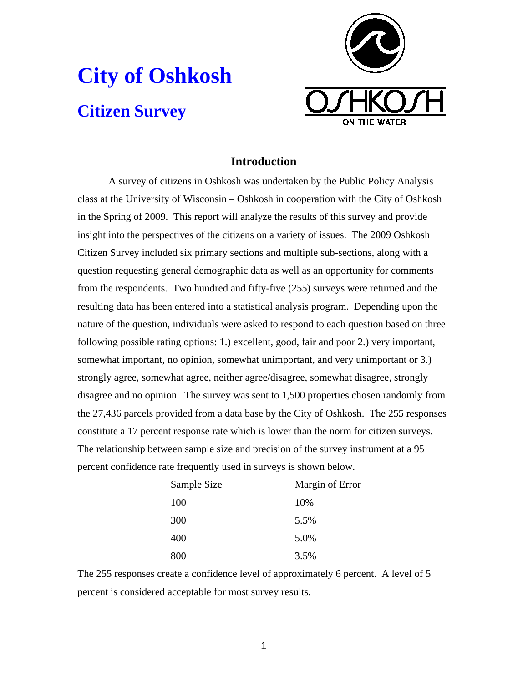# **City of Oshkosh Citizen Survey**



# **Introduction**

A survey of citizens in Oshkosh was undertaken by the Public Policy Analysis class at the University of Wisconsin – Oshkosh in cooperation with the City of Oshkosh in the Spring of 2009. This report will analyze the results of this survey and provide insight into the perspectives of the citizens on a variety of issues. The 2009 Oshkosh Citizen Survey included six primary sections and multiple sub-sections, along with a question requesting general demographic data as well as an opportunity for comments from the respondents. Two hundred and fifty-five (255) surveys were returned and the resulting data has been entered into a statistical analysis program. Depending upon the nature of the question, individuals were asked to respond to each question based on three following possible rating options: 1.) excellent, good, fair and poor 2.) very important, somewhat important, no opinion, somewhat unimportant, and very unimportant or 3.) strongly agree, somewhat agree, neither agree/disagree, somewhat disagree, strongly disagree and no opinion. The survey was sent to 1,500 properties chosen randomly from the 27,436 parcels provided from a data base by the City of Oshkosh. The 255 responses constitute a 17 percent response rate which is lower than the norm for citizen surveys. The relationship between sample size and precision of the survey instrument at a 95 percent confidence rate frequently used in surveys is shown below.

| Sample Size | Margin of Error |
|-------------|-----------------|
| 100         | 10%             |
| 300         | 5.5%            |
| 400         | 5.0%            |
| 800         | 3.5%            |

The 255 responses create a confidence level of approximately 6 percent. A level of 5 percent is considered acceptable for most survey results.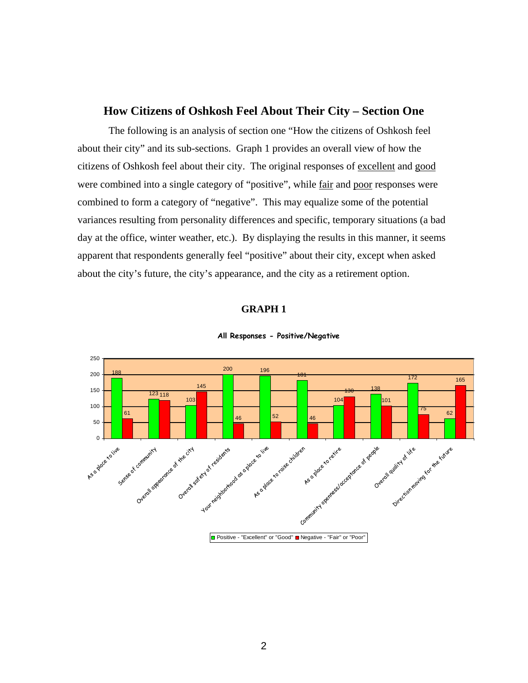## **How Citizens of Oshkosh Feel About Their City – Section One**

The following is an analysis of section one "How the citizens of Oshkosh feel about their city" and its sub-sections. Graph 1 provides an overall view of how the citizens of Oshkosh feel about their city. The original responses of excellent and good were combined into a single category of "positive", while <u>fair</u> and poor responses were combined to form a category of "negative". This may equalize some of the potential variances resulting from personality differences and specific, temporary situations (a bad day at the office, winter weather, etc.). By displaying the results in this manner, it seems apparent that respondents generally feel "positive" about their city, except when asked about the city's future, the city's appearance, and the city as a retirement option.

#### **GRAPH 1**



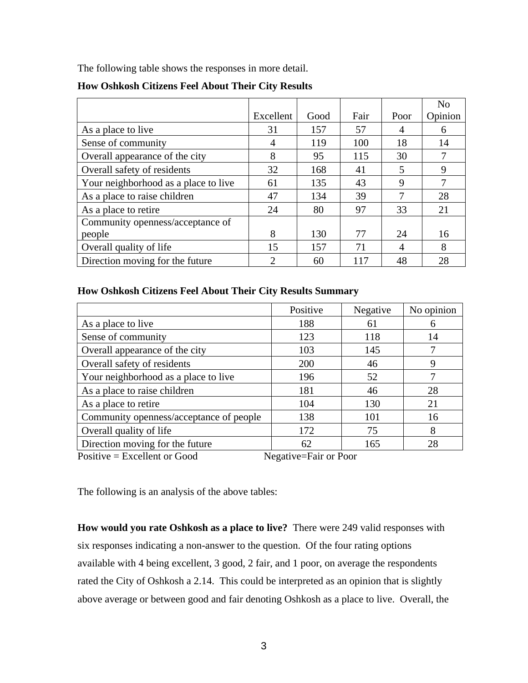The following table shows the responses in more detail.

|                                      |                             |      |      |      | N <sub>o</sub> |
|--------------------------------------|-----------------------------|------|------|------|----------------|
|                                      | Excellent                   | Good | Fair | Poor | Opinion        |
| As a place to live                   | 31                          | 157  | 57   | 4    | 6              |
| Sense of community                   | 4                           | 119  | 100  | 18   | 14             |
| Overall appearance of the city       | 8                           | 95   | 115  | 30   |                |
| Overall safety of residents          | 32                          | 168  | 41   | 5    | 9              |
| Your neighborhood as a place to live | 61                          | 135  | 43   | 9    | 7              |
| As a place to raise children         | 47                          | 134  | 39   | 7    | 28             |
| As a place to retire                 | 24                          | 80   | 97   | 33   | 21             |
| Community openness/acceptance of     |                             |      |      |      |                |
| people                               | 8                           | 130  | 77   | 24   | 16             |
| Overall quality of life              | 15                          | 157  | 71   | 4    | 8              |
| Direction moving for the future      | $\mathcal{D}_{\mathcal{L}}$ | 60   | 117  | 48   | 28             |

#### **How Oshkosh Citizens Feel About Their City Results**

#### **How Oshkosh Citizens Feel About Their City Results Summary**

|                                                         | Positive | Negative | No opinion |  |  |  |
|---------------------------------------------------------|----------|----------|------------|--|--|--|
| As a place to live                                      | 188      | 61       | 6          |  |  |  |
| Sense of community                                      | 123      | 118      | 14         |  |  |  |
| Overall appearance of the city                          | 103      | 145      |            |  |  |  |
| Overall safety of residents                             | 200      | 46       | 9          |  |  |  |
| Your neighborhood as a place to live                    | 196      | 52       |            |  |  |  |
| As a place to raise children                            | 181      | 46       | 28         |  |  |  |
| As a place to retire                                    | 104      | 130      | 21         |  |  |  |
| Community openness/acceptance of people                 | 138      | 101      | 16         |  |  |  |
| Overall quality of life                                 | 172      | 75       | 8          |  |  |  |
| Direction moving for the future                         | 62       | 165      | 28         |  |  |  |
| Positive $=$ Excellent or Good<br>Negative=Fair or Poor |          |          |            |  |  |  |

The following is an analysis of the above tables:

**How would you rate Oshkosh as a place to live?** There were 249 valid responses with six responses indicating a non-answer to the question. Of the four rating options available with 4 being excellent, 3 good, 2 fair, and 1 poor, on average the respondents rated the City of Oshkosh a 2.14. This could be interpreted as an opinion that is slightly above average or between good and fair denoting Oshkosh as a place to live. Overall, the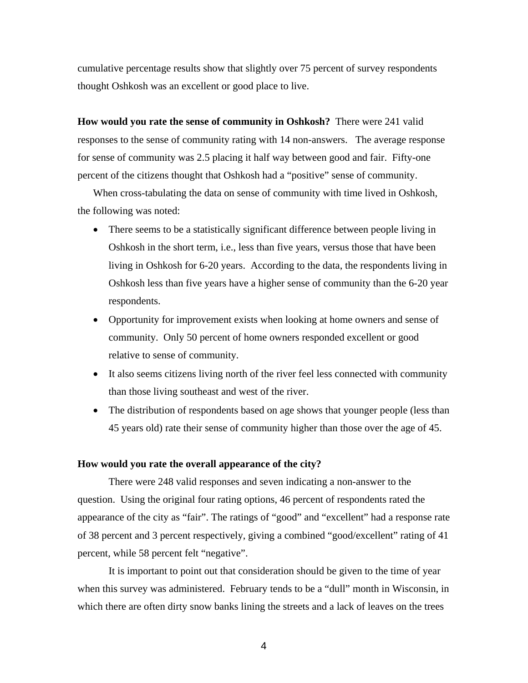cumulative percentage results show that slightly over 75 percent of survey respondents thought Oshkosh was an excellent or good place to live.

**How would you rate the sense of community in Oshkosh?** There were 241 valid responses to the sense of community rating with 14 non-answers. The average response for sense of community was 2.5 placing it half way between good and fair. Fifty-one percent of the citizens thought that Oshkosh had a "positive" sense of community.

When cross-tabulating the data on sense of community with time lived in Oshkosh, the following was noted:

- There seems to be a statistically significant difference between people living in Oshkosh in the short term, i.e., less than five years, versus those that have been living in Oshkosh for 6-20 years. According to the data, the respondents living in Oshkosh less than five years have a higher sense of community than the 6-20 year respondents.
- Opportunity for improvement exists when looking at home owners and sense of community. Only 50 percent of home owners responded excellent or good relative to sense of community.
- It also seems citizens living north of the river feel less connected with community than those living southeast and west of the river.
- The distribution of respondents based on age shows that younger people (less than 45 years old) rate their sense of community higher than those over the age of 45.

#### **How would you rate the overall appearance of the city?**

There were 248 valid responses and seven indicating a non-answer to the question. Using the original four rating options, 46 percent of respondents rated the appearance of the city as "fair". The ratings of "good" and "excellent" had a response rate of 38 percent and 3 percent respectively, giving a combined "good/excellent" rating of 41 percent, while 58 percent felt "negative".

It is important to point out that consideration should be given to the time of year when this survey was administered. February tends to be a "dull" month in Wisconsin, in which there are often dirty snow banks lining the streets and a lack of leaves on the trees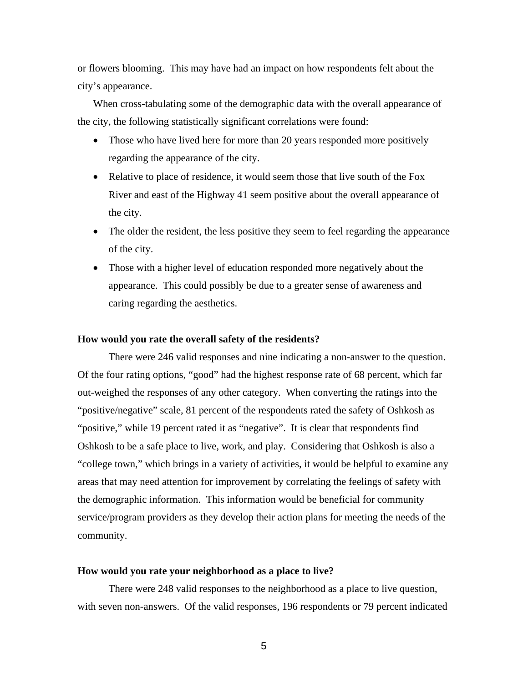or flowers blooming. This may have had an impact on how respondents felt about the city's appearance.

When cross-tabulating some of the demographic data with the overall appearance of the city, the following statistically significant correlations were found:

- Those who have lived here for more than 20 years responded more positively regarding the appearance of the city.
- Relative to place of residence, it would seem those that live south of the Fox River and east of the Highway 41 seem positive about the overall appearance of the city.
- The older the resident, the less positive they seem to feel regarding the appearance of the city.
- Those with a higher level of education responded more negatively about the appearance. This could possibly be due to a greater sense of awareness and caring regarding the aesthetics.

#### **How would you rate the overall safety of the residents?**

There were 246 valid responses and nine indicating a non-answer to the question. Of the four rating options, "good" had the highest response rate of 68 percent, which far out-weighed the responses of any other category. When converting the ratings into the "positive/negative" scale, 81 percent of the respondents rated the safety of Oshkosh as "positive," while 19 percent rated it as "negative". It is clear that respondents find Oshkosh to be a safe place to live, work, and play. Considering that Oshkosh is also a "college town," which brings in a variety of activities, it would be helpful to examine any areas that may need attention for improvement by correlating the feelings of safety with the demographic information. This information would be beneficial for community service/program providers as they develop their action plans for meeting the needs of the community.

#### **How would you rate your neighborhood as a place to live?**

There were 248 valid responses to the neighborhood as a place to live question, with seven non-answers. Of the valid responses, 196 respondents or 79 percent indicated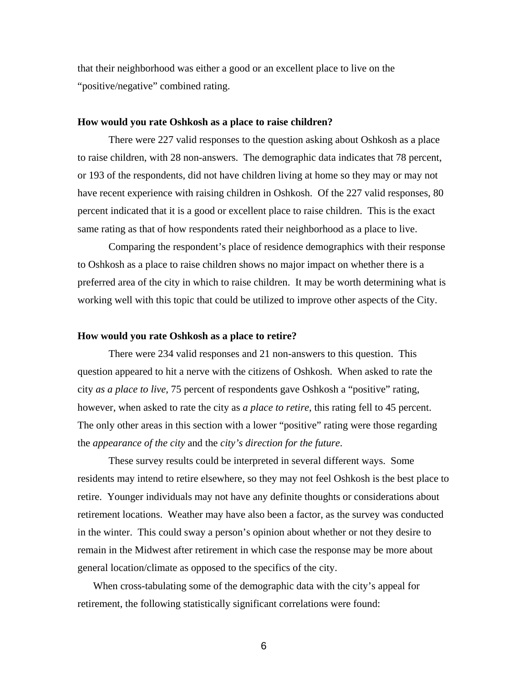that their neighborhood was either a good or an excellent place to live on the "positive/negative" combined rating.

#### **How would you rate Oshkosh as a place to raise children?**

There were 227 valid responses to the question asking about Oshkosh as a place to raise children, with 28 non-answers. The demographic data indicates that 78 percent, or 193 of the respondents, did not have children living at home so they may or may not have recent experience with raising children in Oshkosh. Of the 227 valid responses, 80 percent indicated that it is a good or excellent place to raise children. This is the exact same rating as that of how respondents rated their neighborhood as a place to live.

Comparing the respondent's place of residence demographics with their response to Oshkosh as a place to raise children shows no major impact on whether there is a preferred area of the city in which to raise children. It may be worth determining what is working well with this topic that could be utilized to improve other aspects of the City.

#### **How would you rate Oshkosh as a place to retire?**

There were 234 valid responses and 21 non-answers to this question. This question appeared to hit a nerve with the citizens of Oshkosh. When asked to rate the city *as a place to live*, 75 percent of respondents gave Oshkosh a "positive" rating, however, when asked to rate the city as *a place to retire*, this rating fell to 45 percent. The only other areas in this section with a lower "positive" rating were those regarding the *appearance of the city* and the *city's direction for the future*.

These survey results could be interpreted in several different ways. Some residents may intend to retire elsewhere, so they may not feel Oshkosh is the best place to retire. Younger individuals may not have any definite thoughts or considerations about retirement locations. Weather may have also been a factor, as the survey was conducted in the winter. This could sway a person's opinion about whether or not they desire to remain in the Midwest after retirement in which case the response may be more about general location/climate as opposed to the specifics of the city.

When cross-tabulating some of the demographic data with the city's appeal for retirement, the following statistically significant correlations were found: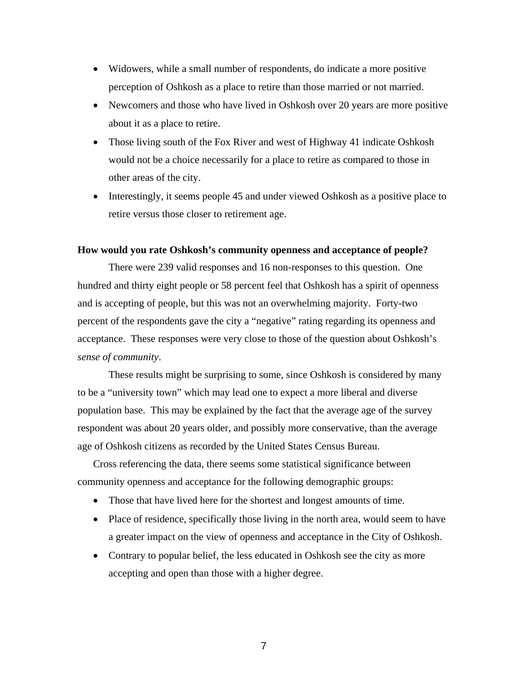- Widowers, while a small number of respondents, do indicate a more positive perception of Oshkosh as a place to retire than those married or not married.
- Newcomers and those who have lived in Oshkosh over 20 years are more positive about it as a place to retire.
- Those living south of the Fox River and west of Highway 41 indicate Oshkosh would not be a choice necessarily for a place to retire as compared to those in other areas of the city.
- Interestingly, it seems people 45 and under viewed Oshkosh as a positive place to retire versus those closer to retirement age.

#### **How would you rate Oshkosh's community openness and acceptance of people?**

There were 239 valid responses and 16 non-responses to this question. One hundred and thirty eight people or 58 percent feel that Oshkosh has a spirit of openness and is accepting of people, but this was not an overwhelming majority. Forty-two percent of the respondents gave the city a "negative" rating regarding its openness and acceptance. These responses were very close to those of the question about Oshkosh's *sense of community*.

These results might be surprising to some, since Oshkosh is considered by many to be a "university town" which may lead one to expect a more liberal and diverse population base. This may be explained by the fact that the average age of the survey respondent was about 20 years older, and possibly more conservative, than the average age of Oshkosh citizens as recorded by the United States Census Bureau.

Cross referencing the data, there seems some statistical significance between community openness and acceptance for the following demographic groups:

- Those that have lived here for the shortest and longest amounts of time.
- Place of residence, specifically those living in the north area, would seem to have a greater impact on the view of openness and acceptance in the City of Oshkosh.
- Contrary to popular belief, the less educated in Oshkosh see the city as more accepting and open than those with a higher degree.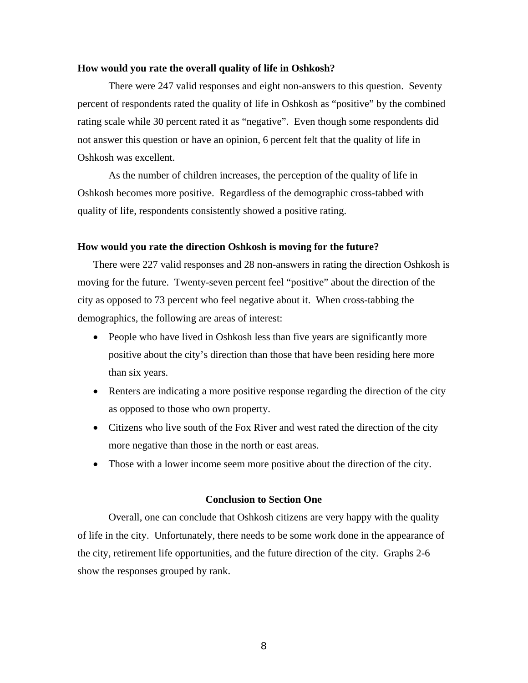#### **How would you rate the overall quality of life in Oshkosh?**

There were 247 valid responses and eight non-answers to this question. Seventy percent of respondents rated the quality of life in Oshkosh as "positive" by the combined rating scale while 30 percent rated it as "negative". Even though some respondents did not answer this question or have an opinion, 6 percent felt that the quality of life in Oshkosh was excellent.

As the number of children increases, the perception of the quality of life in Oshkosh becomes more positive. Regardless of the demographic cross-tabbed with quality of life, respondents consistently showed a positive rating.

#### **How would you rate the direction Oshkosh is moving for the future?**

There were 227 valid responses and 28 non-answers in rating the direction Oshkosh is moving for the future. Twenty-seven percent feel "positive" about the direction of the city as opposed to 73 percent who feel negative about it. When cross-tabbing the demographics, the following are areas of interest:

- People who have lived in Oshkosh less than five years are significantly more positive about the city's direction than those that have been residing here more than six years.
- Renters are indicating a more positive response regarding the direction of the city as opposed to those who own property.
- Citizens who live south of the Fox River and west rated the direction of the city more negative than those in the north or east areas.
- Those with a lower income seem more positive about the direction of the city.

#### **Conclusion to Section One**

Overall, one can conclude that Oshkosh citizens are very happy with the quality of life in the city. Unfortunately, there needs to be some work done in the appearance of the city, retirement life opportunities, and the future direction of the city. Graphs 2-6 show the responses grouped by rank.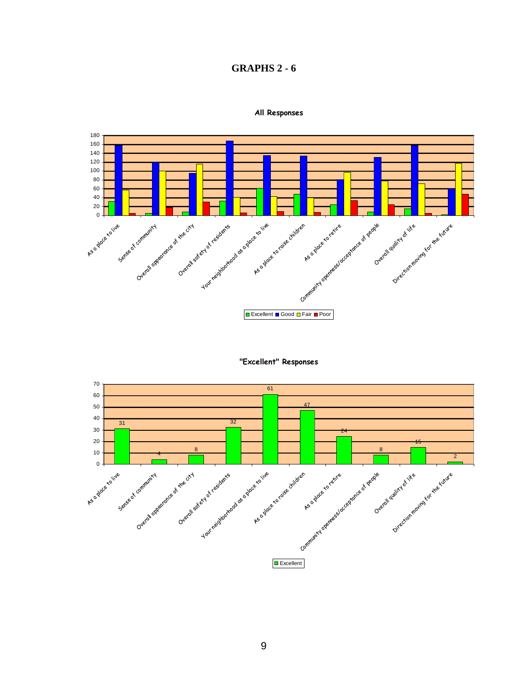# **GRAPHS 2 - 6**



**All Responses**



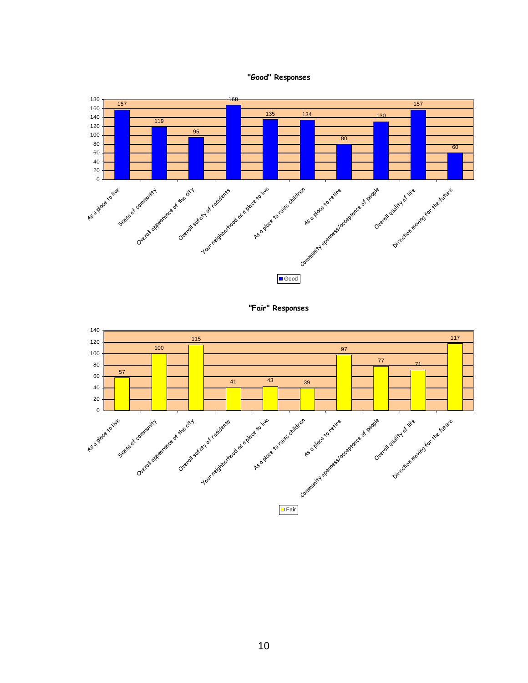





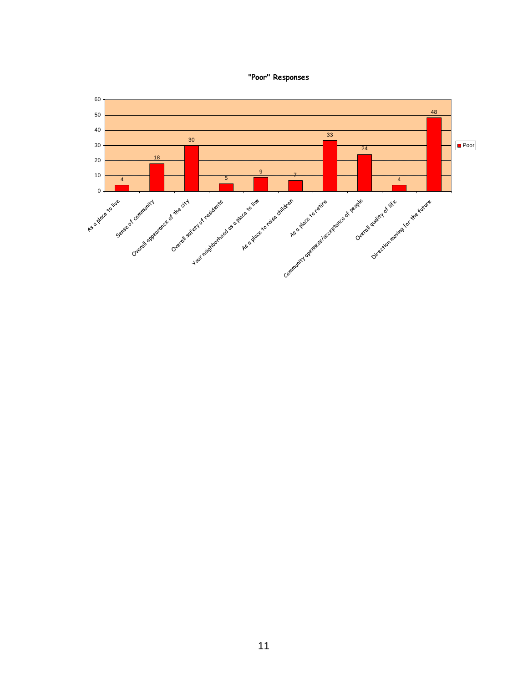

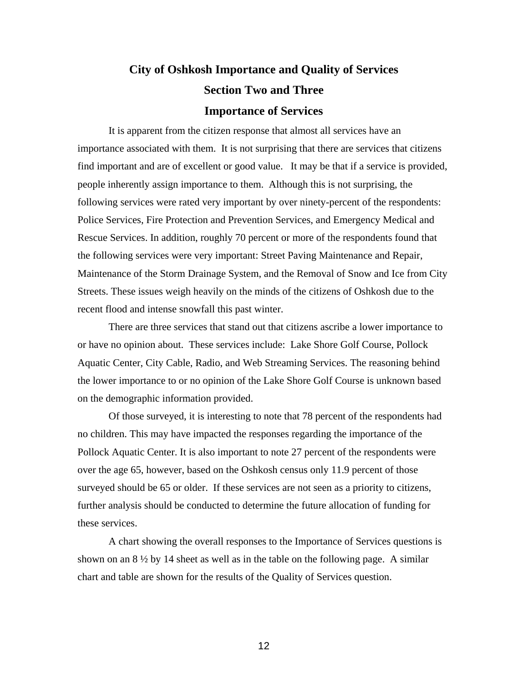# **City of Oshkosh Importance and Quality of Services Section Two and Three Importance of Services**

It is apparent from the citizen response that almost all services have an importance associated with them. It is not surprising that there are services that citizens find important and are of excellent or good value. It may be that if a service is provided, people inherently assign importance to them. Although this is not surprising, the following services were rated very important by over ninety-percent of the respondents: Police Services, Fire Protection and Prevention Services, and Emergency Medical and Rescue Services. In addition, roughly 70 percent or more of the respondents found that the following services were very important: Street Paving Maintenance and Repair, Maintenance of the Storm Drainage System, and the Removal of Snow and Ice from City Streets. These issues weigh heavily on the minds of the citizens of Oshkosh due to the recent flood and intense snowfall this past winter.

There are three services that stand out that citizens ascribe a lower importance to or have no opinion about. These services include: Lake Shore Golf Course, Pollock Aquatic Center, City Cable, Radio, and Web Streaming Services. The reasoning behind the lower importance to or no opinion of the Lake Shore Golf Course is unknown based on the demographic information provided.

Of those surveyed, it is interesting to note that 78 percent of the respondents had no children. This may have impacted the responses regarding the importance of the Pollock Aquatic Center. It is also important to note 27 percent of the respondents were over the age 65, however, based on the Oshkosh census only 11.9 percent of those surveyed should be 65 or older. If these services are not seen as a priority to citizens, further analysis should be conducted to determine the future allocation of funding for these services.

A chart showing the overall responses to the Importance of Services questions is shown on an  $8\frac{1}{2}$  by 14 sheet as well as in the table on the following page. A similar chart and table are shown for the results of the Quality of Services question.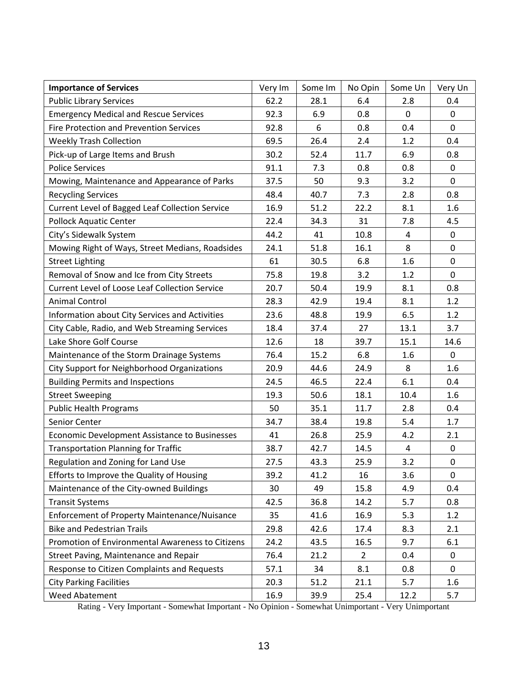| <b>Importance of Services</b>                         | Very Im | Some Im | No Opin        | Some Un      | Very Un     |
|-------------------------------------------------------|---------|---------|----------------|--------------|-------------|
| <b>Public Library Services</b>                        | 62.2    | 28.1    | 6.4            | 2.8          | 0.4         |
| <b>Emergency Medical and Rescue Services</b>          | 92.3    | 6.9     | 0.8            | $\mathbf{0}$ | 0           |
| <b>Fire Protection and Prevention Services</b>        | 92.8    | 6       | 0.8            | 0.4          | $\Omega$    |
| <b>Weekly Trash Collection</b>                        | 69.5    | 26.4    | 2.4            | 1.2          | 0.4         |
| Pick-up of Large Items and Brush                      | 30.2    | 52.4    | 11.7           | 6.9          | 0.8         |
| <b>Police Services</b>                                | 91.1    | 7.3     | 0.8            | 0.8          | 0           |
| Mowing, Maintenance and Appearance of Parks           | 37.5    | 50      | 9.3            | 3.2          | $\mathbf 0$ |
| <b>Recycling Services</b>                             | 48.4    | 40.7    | 7.3            | 2.8          | 0.8         |
| Current Level of Bagged Leaf Collection Service       | 16.9    | 51.2    | 22.2           | 8.1          | 1.6         |
| <b>Pollock Aquatic Center</b>                         | 22.4    | 34.3    | 31             | 7.8          | 4.5         |
| City's Sidewalk System                                | 44.2    | 41      | 10.8           | 4            | 0           |
| Mowing Right of Ways, Street Medians, Roadsides       | 24.1    | 51.8    | 16.1           | 8            | $\mathbf 0$ |
| <b>Street Lighting</b>                                | 61      | 30.5    | 6.8            | 1.6          | 0           |
| Removal of Snow and Ice from City Streets             | 75.8    | 19.8    | 3.2            | 1.2          | $\mathbf 0$ |
| <b>Current Level of Loose Leaf Collection Service</b> | 20.7    | 50.4    | 19.9           | 8.1          | 0.8         |
| <b>Animal Control</b>                                 | 28.3    | 42.9    | 19.4           | 8.1          | 1.2         |
| Information about City Services and Activities        | 23.6    | 48.8    | 19.9           | 6.5          | 1.2         |
| City Cable, Radio, and Web Streaming Services         | 18.4    | 37.4    | 27             | 13.1         | 3.7         |
| Lake Shore Golf Course                                | 12.6    | 18      | 39.7           | 15.1         | 14.6        |
| Maintenance of the Storm Drainage Systems             | 76.4    | 15.2    | 6.8            | 1.6          | 0           |
| City Support for Neighborhood Organizations           | 20.9    | 44.6    | 24.9           | 8            | 1.6         |
| <b>Building Permits and Inspections</b>               | 24.5    | 46.5    | 22.4           | 6.1          | 0.4         |
| <b>Street Sweeping</b>                                | 19.3    | 50.6    | 18.1           | 10.4         | 1.6         |
| <b>Public Health Programs</b>                         | 50      | 35.1    | 11.7           | 2.8          | 0.4         |
| Senior Center                                         | 34.7    | 38.4    | 19.8           | 5.4          | 1.7         |
| <b>Economic Development Assistance to Businesses</b>  | 41      | 26.8    | 25.9           | 4.2          | 2.1         |
| <b>Transportation Planning for Traffic</b>            | 38.7    | 42.7    | 14.5           | 4            | 0           |
| Regulation and Zoning for Land Use                    | 27.5    | 43.3    | 25.9           | 3.2          | $\pmb{0}$   |
| Efforts to Improve the Quality of Housing             | 39.2    | 41.2    | 16             | 3.6          | $\mathbf 0$ |
| Maintenance of the City-owned Buildings               | 30      | 49      | 15.8           | 4.9          | 0.4         |
| <b>Transit Systems</b>                                | 42.5    | 36.8    | 14.2           | 5.7          | 0.8         |
| Enforcement of Property Maintenance/Nuisance          | 35      | 41.6    | 16.9           | 5.3          | 1.2         |
| <b>Bike and Pedestrian Trails</b>                     | 29.8    | 42.6    | 17.4           | 8.3          | 2.1         |
| Promotion of Environmental Awareness to Citizens      | 24.2    | 43.5    | 16.5           | 9.7          | 6.1         |
| Street Paving, Maintenance and Repair                 | 76.4    | 21.2    | $\overline{2}$ | 0.4          | 0           |
| Response to Citizen Complaints and Requests           | 57.1    | 34      | 8.1            | 0.8          | $\mathbf 0$ |
| <b>City Parking Facilities</b>                        | 20.3    | 51.2    | 21.1           | 5.7          | 1.6         |
| Weed Abatement                                        | 16.9    | 39.9    | 25.4           | 12.2         | 5.7         |

Rating - Very Important - Somewhat Important - No Opinion - Somewhat Unimportant - Very Unimportant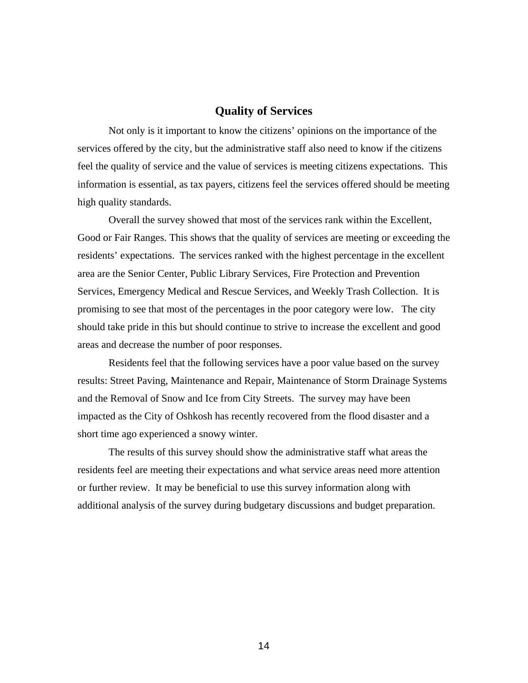#### **Quality of Services**

Not only is it important to know the citizens' opinions on the importance of the services offered by the city, but the administrative staff also need to know if the citizens feel the quality of service and the value of services is meeting citizens expectations. This information is essential, as tax payers, citizens feel the services offered should be meeting high quality standards.

 Overall the survey showed that most of the services rank within the Excellent, Good or Fair Ranges. This shows that the quality of services are meeting or exceeding the residents' expectations. The services ranked with the highest percentage in the excellent area are the Senior Center, Public Library Services, Fire Protection and Prevention Services, Emergency Medical and Rescue Services, and Weekly Trash Collection. It is promising to see that most of the percentages in the poor category were low. The city should take pride in this but should continue to strive to increase the excellent and good areas and decrease the number of poor responses.

 Residents feel that the following services have a poor value based on the survey results: Street Paving, Maintenance and Repair, Maintenance of Storm Drainage Systems and the Removal of Snow and Ice from City Streets. The survey may have been impacted as the City of Oshkosh has recently recovered from the flood disaster and a short time ago experienced a snowy winter.

 The results of this survey should show the administrative staff what areas the residents feel are meeting their expectations and what service areas need more attention or further review. It may be beneficial to use this survey information along with additional analysis of the survey during budgetary discussions and budget preparation.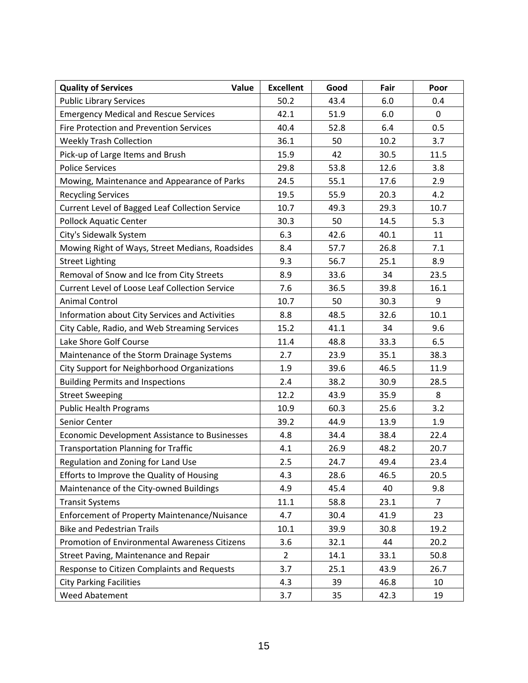| Value<br><b>Quality of Services</b>                   | <b>Excellent</b> | Good | Fair | Poor           |
|-------------------------------------------------------|------------------|------|------|----------------|
| <b>Public Library Services</b>                        | 50.2             | 43.4 | 6.0  | 0.4            |
| <b>Emergency Medical and Rescue Services</b>          | 42.1             | 51.9 | 6.0  | 0              |
| <b>Fire Protection and Prevention Services</b>        | 40.4             | 52.8 | 6.4  | 0.5            |
| <b>Weekly Trash Collection</b>                        | 36.1             | 50   | 10.2 | 3.7            |
| Pick-up of Large Items and Brush                      | 15.9             | 42   | 30.5 | 11.5           |
| <b>Police Services</b>                                | 29.8             | 53.8 | 12.6 | 3.8            |
| Mowing, Maintenance and Appearance of Parks           | 24.5             | 55.1 | 17.6 | 2.9            |
| <b>Recycling Services</b>                             | 19.5             | 55.9 | 20.3 | 4.2            |
| Current Level of Bagged Leaf Collection Service       | 10.7             | 49.3 | 29.3 | 10.7           |
| <b>Pollock Aquatic Center</b>                         | 30.3             | 50   | 14.5 | 5.3            |
| City's Sidewalk System                                | 6.3              | 42.6 | 40.1 | 11             |
| Mowing Right of Ways, Street Medians, Roadsides       | 8.4              | 57.7 | 26.8 | 7.1            |
| <b>Street Lighting</b>                                | 9.3              | 56.7 | 25.1 | 8.9            |
| Removal of Snow and Ice from City Streets             | 8.9              | 33.6 | 34   | 23.5           |
| <b>Current Level of Loose Leaf Collection Service</b> | 7.6              | 36.5 | 39.8 | 16.1           |
| <b>Animal Control</b>                                 | 10.7             | 50   | 30.3 | 9              |
| Information about City Services and Activities        | 8.8              | 48.5 | 32.6 | 10.1           |
| City Cable, Radio, and Web Streaming Services         | 15.2             | 41.1 | 34   | 9.6            |
| Lake Shore Golf Course                                | 11.4             | 48.8 | 33.3 | 6.5            |
| Maintenance of the Storm Drainage Systems             | 2.7              | 23.9 | 35.1 | 38.3           |
| City Support for Neighborhood Organizations           | 1.9              | 39.6 | 46.5 | 11.9           |
| <b>Building Permits and Inspections</b>               | 2.4              | 38.2 | 30.9 | 28.5           |
| <b>Street Sweeping</b>                                | 12.2             | 43.9 | 35.9 | 8              |
| <b>Public Health Programs</b>                         | 10.9             | 60.3 | 25.6 | 3.2            |
| Senior Center                                         | 39.2             | 44.9 | 13.9 | 1.9            |
| <b>Economic Development Assistance to Businesses</b>  | 4.8              | 34.4 | 38.4 | 22.4           |
| <b>Transportation Planning for Traffic</b>            | 4.1              | 26.9 | 48.2 | 20.7           |
| Regulation and Zoning for Land Use                    | 2.5              | 24.7 | 49.4 | 23.4           |
| Efforts to Improve the Quality of Housing             | 4.3              | 28.6 | 46.5 | 20.5           |
| Maintenance of the City-owned Buildings               | 4.9              | 45.4 | 40   | 9.8            |
| <b>Transit Systems</b>                                | 11.1             | 58.8 | 23.1 | $\overline{7}$ |
| Enforcement of Property Maintenance/Nuisance          | 4.7              | 30.4 | 41.9 | 23             |
| <b>Bike and Pedestrian Trails</b>                     | 10.1             | 39.9 | 30.8 | 19.2           |
| Promotion of Environmental Awareness Citizens         | 3.6              | 32.1 | 44   | 20.2           |
| Street Paving, Maintenance and Repair                 | $\overline{2}$   | 14.1 | 33.1 | 50.8           |
| Response to Citizen Complaints and Requests           | 3.7              | 25.1 | 43.9 | 26.7           |
| <b>City Parking Facilities</b>                        | 4.3              | 39   | 46.8 | 10             |
| Weed Abatement                                        | 3.7              | 35   | 42.3 | 19             |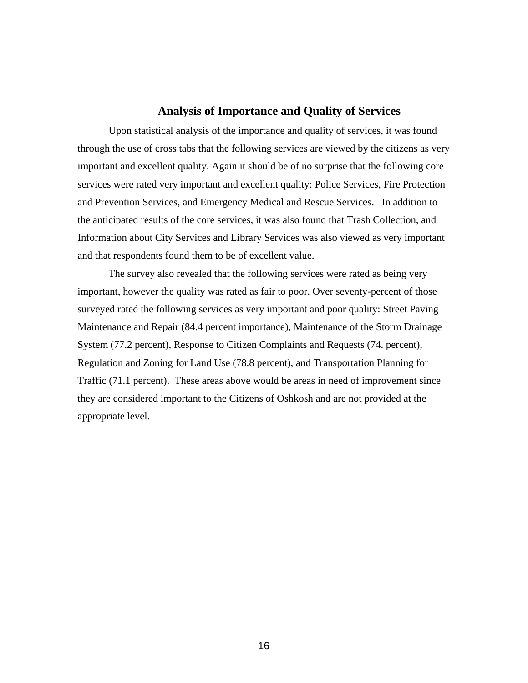#### **Analysis of Importance and Quality of Services**

Upon statistical analysis of the importance and quality of services, it was found through the use of cross tabs that the following services are viewed by the citizens as very important and excellent quality. Again it should be of no surprise that the following core services were rated very important and excellent quality: Police Services, Fire Protection and Prevention Services, and Emergency Medical and Rescue Services. In addition to the anticipated results of the core services, it was also found that Trash Collection, and Information about City Services and Library Services was also viewed as very important and that respondents found them to be of excellent value.

The survey also revealed that the following services were rated as being very important, however the quality was rated as fair to poor. Over seventy-percent of those surveyed rated the following services as very important and poor quality: Street Paving Maintenance and Repair (84.4 percent importance), Maintenance of the Storm Drainage System (77.2 percent), Response to Citizen Complaints and Requests (74. percent), Regulation and Zoning for Land Use (78.8 percent), and Transportation Planning for Traffic (71.1 percent). These areas above would be areas in need of improvement since they are considered important to the Citizens of Oshkosh and are not provided at the appropriate level.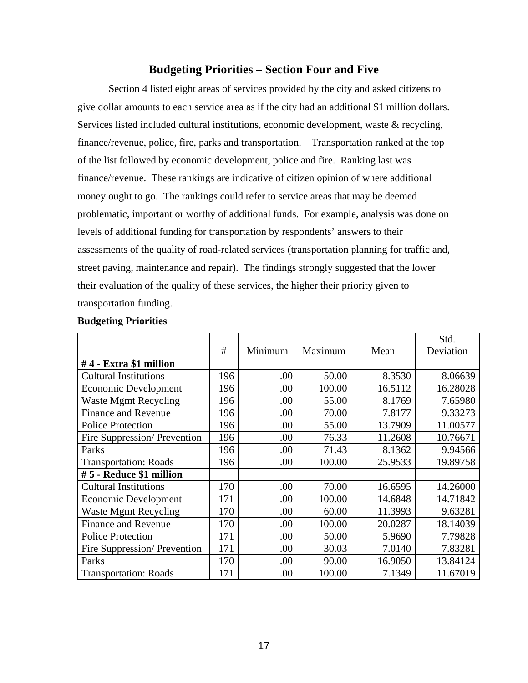## **Budgeting Priorities – Section Four and Five**

Section 4 listed eight areas of services provided by the city and asked citizens to give dollar amounts to each service area as if the city had an additional \$1 million dollars. Services listed included cultural institutions, economic development, waste & recycling, finance/revenue, police, fire, parks and transportation. Transportation ranked at the top of the list followed by economic development, police and fire. Ranking last was finance/revenue. These rankings are indicative of citizen opinion of where additional money ought to go. The rankings could refer to service areas that may be deemed problematic, important or worthy of additional funds. For example, analysis was done on levels of additional funding for transportation by respondents' answers to their assessments of the quality of road-related services (transportation planning for traffic and, street paving, maintenance and repair). The findings strongly suggested that the lower their evaluation of the quality of these services, the higher their priority given to transportation funding.

|                              |     |         |         |         | Std.      |
|------------------------------|-----|---------|---------|---------|-----------|
|                              | #   | Minimum | Maximum | Mean    | Deviation |
| #4 - Extra \$1 million       |     |         |         |         |           |
| <b>Cultural Institutions</b> | 196 | .00     | 50.00   | 8.3530  | 8.06639   |
| <b>Economic Development</b>  | 196 | .00     | 100.00  | 16.5112 | 16.28028  |
| <b>Waste Mgmt Recycling</b>  | 196 | .00     | 55.00   | 8.1769  | 7.65980   |
| <b>Finance and Revenue</b>   | 196 | .00.    | 70.00   | 7.8177  | 9.33273   |
| <b>Police Protection</b>     | 196 | .00     | 55.00   | 13.7909 | 11.00577  |
| Fire Suppression/Prevention  | 196 | .00     | 76.33   | 11.2608 | 10.76671  |
| Parks                        | 196 | .00.    | 71.43   | 8.1362  | 9.94566   |
| <b>Transportation: Roads</b> | 196 | .00     | 100.00  | 25.9533 | 19.89758  |
| #5 - Reduce \$1 million      |     |         |         |         |           |
| <b>Cultural Institutions</b> | 170 | .00     | 70.00   | 16.6595 | 14.26000  |
| <b>Economic Development</b>  | 171 | .00     | 100.00  | 14.6848 | 14.71842  |
| <b>Waste Mgmt Recycling</b>  | 170 | .00     | 60.00   | 11.3993 | 9.63281   |
| <b>Finance and Revenue</b>   | 170 | .00     | 100.00  | 20.0287 | 18.14039  |
| <b>Police Protection</b>     | 171 | .00.    | 50.00   | 5.9690  | 7.79828   |
| Fire Suppression/Prevention  | 171 | .00     | 30.03   | 7.0140  | 7.83281   |
| Parks                        | 170 | .00.    | 90.00   | 16.9050 | 13.84124  |
| <b>Transportation: Roads</b> | 171 | .00     | 100.00  | 7.1349  | 11.67019  |

#### **Budgeting Priorities**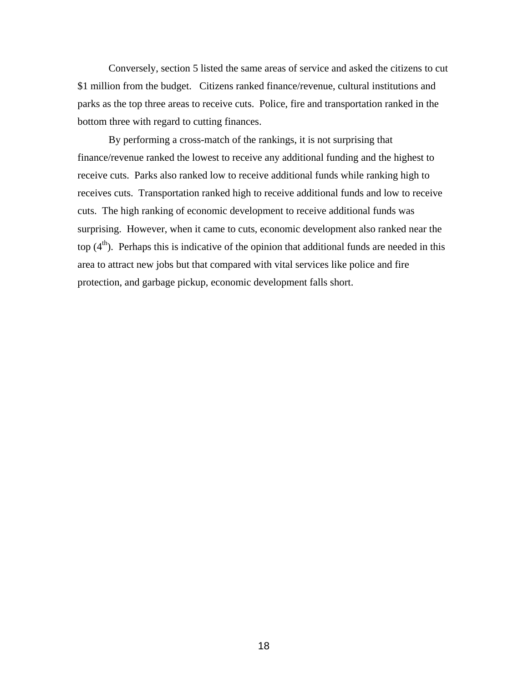Conversely, section 5 listed the same areas of service and asked the citizens to cut \$1 million from the budget. Citizens ranked finance/revenue, cultural institutions and parks as the top three areas to receive cuts. Police, fire and transportation ranked in the bottom three with regard to cutting finances.

By performing a cross-match of the rankings, it is not surprising that finance/revenue ranked the lowest to receive any additional funding and the highest to receive cuts. Parks also ranked low to receive additional funds while ranking high to receives cuts. Transportation ranked high to receive additional funds and low to receive cuts. The high ranking of economic development to receive additional funds was surprising. However, when it came to cuts, economic development also ranked near the top  $(4<sup>th</sup>)$ . Perhaps this is indicative of the opinion that additional funds are needed in this area to attract new jobs but that compared with vital services like police and fire protection, and garbage pickup, economic development falls short.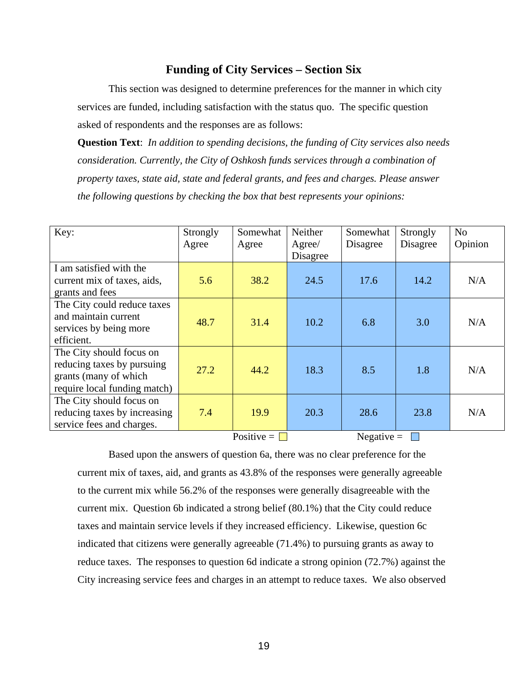## **Funding of City Services – Section Six**

This section was designed to determine preferences for the manner in which city services are funded, including satisfaction with the status quo. The specific question asked of respondents and the responses are as follows:

**Question Text**: *In addition to spending decisions, the funding of City services also needs consideration. Currently, the City of Oshkosh funds services through a combination of property taxes, state aid, state and federal grants, and fees and charges. Please answer the following questions by checking the box that best represents your opinions:*

| Key:                                                                                                            | Strongly<br>Agree | Somewhat<br>Agree         | Neither<br>Agree/<br>Disagree | Somewhat<br>Disagree | Strongly<br>Disagree | N <sub>o</sub><br>Opinion |
|-----------------------------------------------------------------------------------------------------------------|-------------------|---------------------------|-------------------------------|----------------------|----------------------|---------------------------|
| I am satisfied with the<br>current mix of taxes, aids,<br>grants and fees                                       | 5.6               | 38.2                      | 24.5                          | 17.6                 | 14.2                 | N/A                       |
| The City could reduce taxes<br>and maintain current<br>services by being more<br>efficient.                     | 48.7              | 31.4                      | 10.2                          | 6.8                  | 3.0                  | N/A                       |
| The City should focus on<br>reducing taxes by pursuing<br>grants (many of which<br>require local funding match) | 27.2              | 44.2                      | 18.3                          | 8.5                  | 1.8                  | N/A                       |
| The City should focus on<br>reducing taxes by increasing<br>service fees and charges.                           | 7.4               | 19.9<br>Positive = $\Box$ | 20.3                          | 28.6                 | 23.8                 | N/A                       |
|                                                                                                                 |                   | Negative $=$              |                               |                      |                      |                           |

 Based upon the answers of question 6a, there was no clear preference for the current mix of taxes, aid, and grants as 43.8% of the responses were generally agreeable to the current mix while 56.2% of the responses were generally disagreeable with the current mix. Question 6b indicated a strong belief (80.1%) that the City could reduce taxes and maintain service levels if they increased efficiency. Likewise, question 6c indicated that citizens were generally agreeable (71.4%) to pursuing grants as away to reduce taxes. The responses to question 6d indicate a strong opinion (72.7%) against the City increasing service fees and charges in an attempt to reduce taxes. We also observed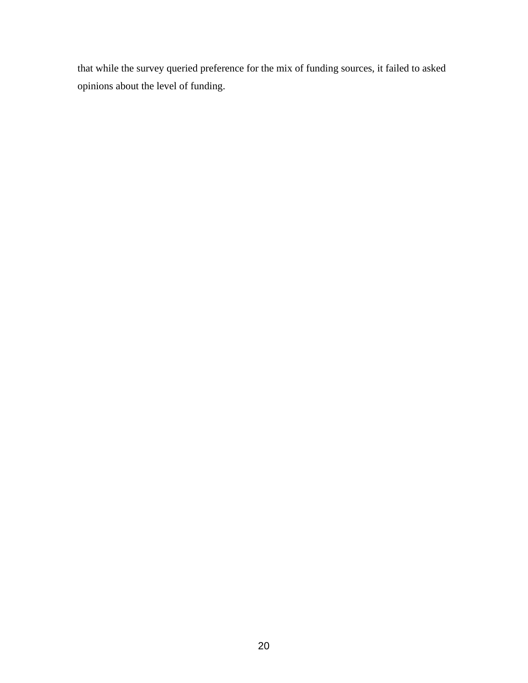that while the survey queried preference for the mix of funding sources, it failed to asked opinions about the level of funding.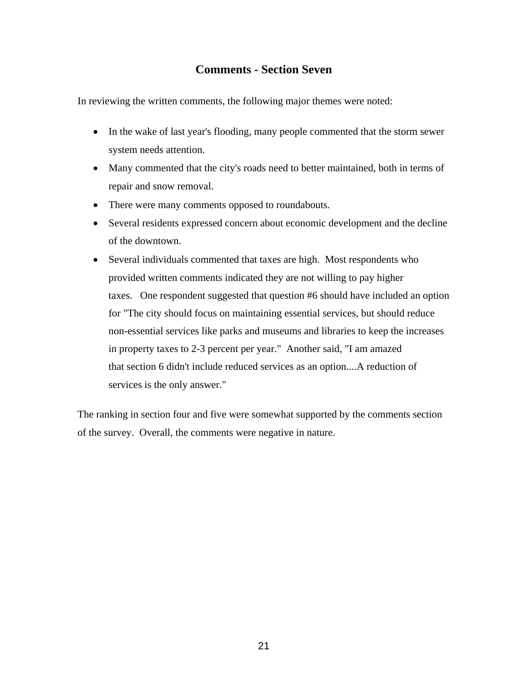# **Comments - Section Seven**

In reviewing the written comments, the following major themes were noted:

- In the wake of last year's flooding, many people commented that the storm sewer system needs attention.
- Many commented that the city's roads need to better maintained, both in terms of repair and snow removal.
- There were many comments opposed to roundabouts.
- Several residents expressed concern about economic development and the decline of the downtown.
- Several individuals commented that taxes are high. Most respondents who provided written comments indicated they are not willing to pay higher taxes. One respondent suggested that question #6 should have included an option for "The city should focus on maintaining essential services, but should reduce non-essential services like parks and museums and libraries to keep the increases in property taxes to 2-3 percent per year." Another said, "I am amazed that section 6 didn't include reduced services as an option....A reduction of services is the only answer."

The ranking in section four and five were somewhat supported by the comments section of the survey. Overall, the comments were negative in nature.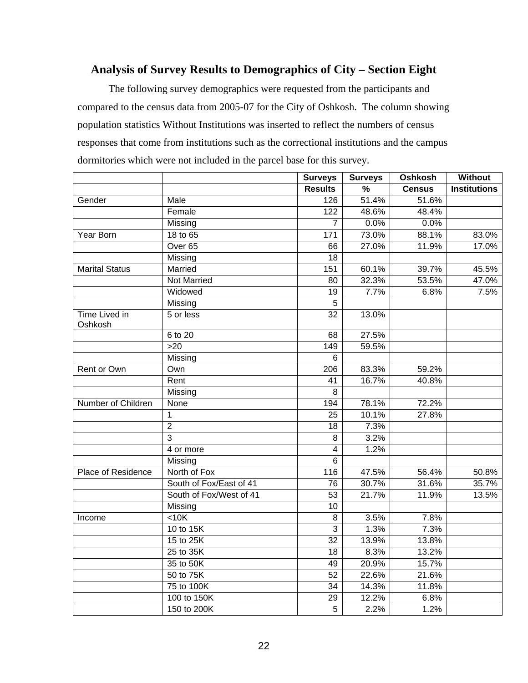# **Analysis of Survey Results to Demographics of City – Section Eight**

The following survey demographics were requested from the participants and compared to the census data from 2005-07 for the City of Oshkosh. The column showing population statistics Without Institutions was inserted to reflect the numbers of census responses that come from institutions such as the correctional institutions and the campus dormitories which were not included in the parcel base for this survey.

|                                 |                         | <b>Surveys</b>          | <b>Surveys</b> | Oshkosh       | <b>Without</b>      |
|---------------------------------|-------------------------|-------------------------|----------------|---------------|---------------------|
|                                 |                         | <b>Results</b>          | $\%$           | <b>Census</b> | <b>Institutions</b> |
| Gender                          | <b>Male</b>             | 126                     | 51.4%          | 51.6%         |                     |
|                                 | Female                  | 122                     | 48.6%          | 48.4%         |                     |
|                                 | Missing                 | $\overline{7}$          | 0.0%           | 0.0%          |                     |
| Year Born                       | 18 to 65                | $\frac{1}{171}$         | 73.0%          | 88.1%         | 83.0%               |
|                                 | Over <sub>65</sub>      | 66                      | 27.0%          | 11.9%         | 17.0%               |
|                                 | Missing                 | 18                      |                |               |                     |
| <b>Marital Status</b>           | Married                 | 151                     | 60.1%          | 39.7%         | 45.5%               |
|                                 | <b>Not Married</b>      | 80                      | 32.3%          | 53.5%         | 47.0%               |
|                                 | Widowed                 | 19                      | 7.7%           | 6.8%          | 7.5%                |
|                                 | Missing                 | $\overline{5}$          |                |               |                     |
| <b>Time Lived in</b><br>Oshkosh | 5 or less               | $\overline{32}$         | 13.0%          |               |                     |
|                                 | 6 to 20                 | 68                      | 27.5%          |               |                     |
|                                 | >20                     | 149                     | 59.5%          |               |                     |
|                                 | Missing                 | 6                       |                |               |                     |
| Rent or Own                     | Own                     | 206                     | 83.3%          | 59.2%         |                     |
|                                 | Rent                    | 41                      | 16.7%          | 40.8%         |                     |
|                                 | Missing                 | 8                       |                |               |                     |
| Number of Children              | None                    | 194                     | 78.1%          | 72.2%         |                     |
|                                 | 1                       | $\overline{25}$         | 10.1%          | 27.8%         |                     |
|                                 | $\overline{2}$          | 18                      | 7.3%           |               |                     |
|                                 | $\overline{3}$          | $\overline{8}$          | 3.2%           |               |                     |
|                                 | 4 or more               | $\overline{\mathbf{4}}$ | 1.2%           |               |                     |
|                                 | Missing                 | $\overline{6}$          |                |               |                     |
| Place of Residence              | North of Fox            | 116                     | 47.5%          | 56.4%         | 50.8%               |
|                                 | South of Fox/East of 41 | 76                      | 30.7%          | 31.6%         | 35.7%               |
|                                 | South of Fox/West of 41 | 53                      | 21.7%          | 11.9%         | 13.5%               |
|                                 | Missing                 | 10                      |                |               |                     |
| Income                          | $10K$                   | $\, 8$                  | 3.5%           | 7.8%          |                     |
|                                 | 10 to 15K               | 3                       | 1.3%           | 7.3%          |                     |
|                                 | 15 to 25K               | 32                      | 13.9%          | 13.8%         |                     |
|                                 | 25 to 35K               | $\overline{18}$         | 8.3%           | 13.2%         |                     |
|                                 | 35 to 50K               | 49                      | 20.9%          | 15.7%         |                     |
|                                 | 50 to 75K               | $\overline{52}$         | 22.6%          | 21.6%         |                     |
|                                 | 75 to 100K              | 34                      | 14.3%          | 11.8%         |                     |
|                                 | 100 to 150K             | 29                      | 12.2%          | 6.8%          |                     |
|                                 | 150 to 200K             | $\overline{5}$          | 2.2%           | 1.2%          |                     |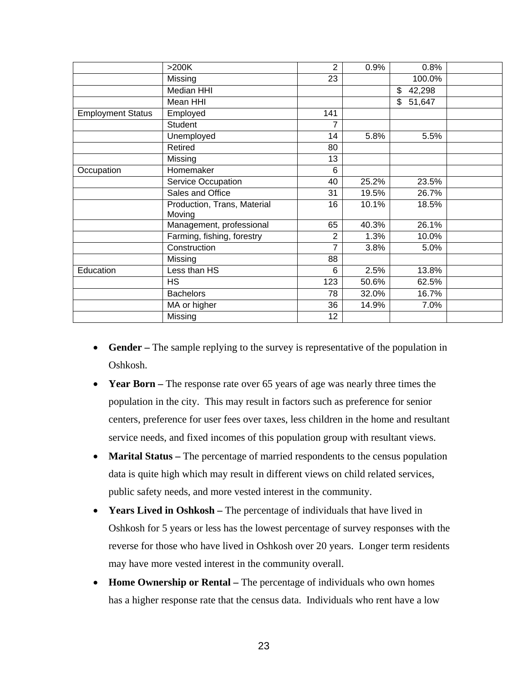|                          | >200K                       | $\overline{2}$ | 0.9%  | 0.8%         |  |
|--------------------------|-----------------------------|----------------|-------|--------------|--|
|                          | Missing                     | 23             |       | 100.0%       |  |
|                          | Median HHI                  |                |       | \$<br>42,298 |  |
|                          | Mean HHI                    |                |       | \$<br>51,647 |  |
| <b>Employment Status</b> | Employed                    | 141            |       |              |  |
|                          | <b>Student</b>              | 7              |       |              |  |
|                          | Unemployed                  | 14             | 5.8%  | 5.5%         |  |
|                          | Retired                     | 80             |       |              |  |
|                          | Missing                     | 13             |       |              |  |
| Occupation               | Homemaker                   | 6              |       |              |  |
|                          | <b>Service Occupation</b>   | 40             | 25.2% | 23.5%        |  |
|                          | Sales and Office            | 31             | 19.5% | 26.7%        |  |
|                          | Production, Trans, Material | 16             | 10.1% | 18.5%        |  |
|                          | Moving                      |                |       |              |  |
|                          | Management, professional    | 65             | 40.3% | 26.1%        |  |
|                          | Farming, fishing, forestry  | $\overline{2}$ | 1.3%  | 10.0%        |  |
|                          | Construction                | 7              | 3.8%  | 5.0%         |  |
|                          | Missing                     | 88             |       |              |  |
| Education                | Less than HS                | 6              | 2.5%  | 13.8%        |  |
|                          | <b>HS</b>                   | 123            | 50.6% | 62.5%        |  |
|                          | <b>Bachelors</b>            | 78             | 32.0% | 16.7%        |  |
|                          | MA or higher                | 36             | 14.9% | 7.0%         |  |
|                          | Missing                     | 12             |       |              |  |

- **Gender** The sample replying to the survey is representative of the population in Oshkosh.
- Year Born The response rate over 65 years of age was nearly three times the population in the city. This may result in factors such as preference for senior centers, preference for user fees over taxes, less children in the home and resultant service needs, and fixed incomes of this population group with resultant views.
- **Marital Status** The percentage of married respondents to the census population data is quite high which may result in different views on child related services, public safety needs, and more vested interest in the community.
- Years Lived in Oshkosh The percentage of individuals that have lived in Oshkosh for 5 years or less has the lowest percentage of survey responses with the reverse for those who have lived in Oshkosh over 20 years. Longer term residents may have more vested interest in the community overall.
- Home Ownership or Rental The percentage of individuals who own homes has a higher response rate that the census data. Individuals who rent have a low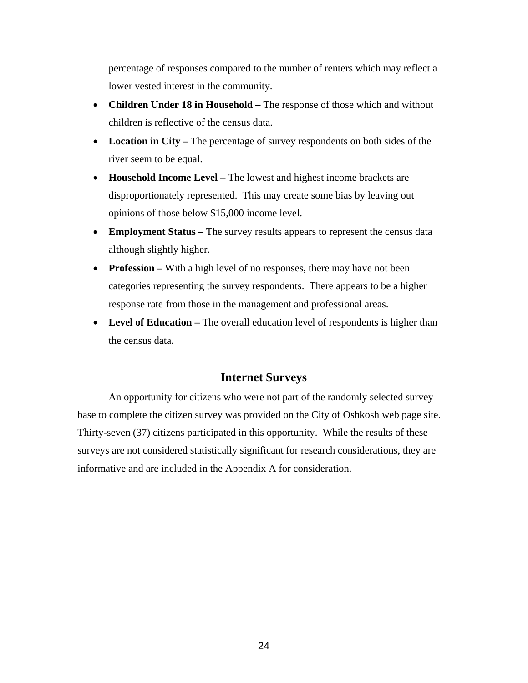percentage of responses compared to the number of renters which may reflect a lower vested interest in the community.

- **Children Under 18 in Household** The response of those which and without children is reflective of the census data.
- Location in City The percentage of survey respondents on both sides of the river seem to be equal.
- **Household Income Level** The lowest and highest income brackets are disproportionately represented. This may create some bias by leaving out opinions of those below \$15,000 income level.
- **Employment Status** The survey results appears to represent the census data although slightly higher.
- **Profession** With a high level of no responses, there may have not been categories representing the survey respondents. There appears to be a higher response rate from those in the management and professional areas.
- Level of Education The overall education level of respondents is higher than the census data.

## **Internet Surveys**

An opportunity for citizens who were not part of the randomly selected survey base to complete the citizen survey was provided on the City of Oshkosh web page site. Thirty-seven (37) citizens participated in this opportunity. While the results of these surveys are not considered statistically significant for research considerations, they are informative and are included in the Appendix A for consideration.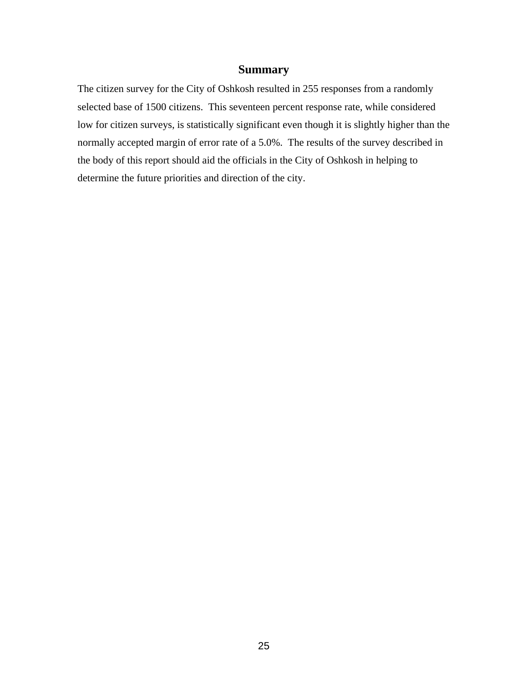## **Summary**

The citizen survey for the City of Oshkosh resulted in 255 responses from a randomly selected base of 1500 citizens. This seventeen percent response rate, while considered low for citizen surveys, is statistically significant even though it is slightly higher than the normally accepted margin of error rate of a 5.0%. The results of the survey described in the body of this report should aid the officials in the City of Oshkosh in helping to determine the future priorities and direction of the city.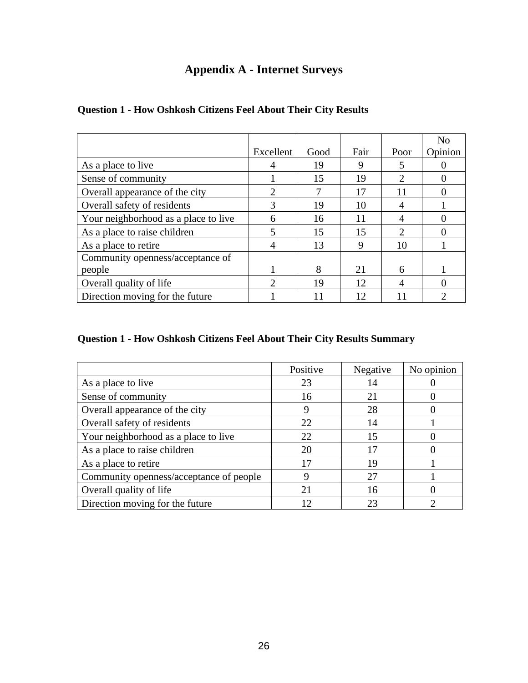# **Appendix A - Internet Surveys**

|                                      |                             |      |      |      | N <sub>o</sub> |
|--------------------------------------|-----------------------------|------|------|------|----------------|
|                                      | Excellent                   | Good | Fair | Poor | Opinion        |
| As a place to live                   |                             | 19   | 9    | 5    |                |
| Sense of community                   |                             | 15   | 19   | 2    |                |
| Overall appearance of the city       | $\mathcal{D}_{\cdot}$       | 7    | 17   | 11   |                |
| Overall safety of residents          | 3                           | 19   | 10   | 4    |                |
| Your neighborhood as a place to live | 6                           | 16   | 11   | 4    |                |
| As a place to raise children         | 5                           | 15   | 15   | 2    |                |
| As a place to retire                 | 4                           | 13   | 9    | 10   |                |
| Community openness/acceptance of     |                             |      |      |      |                |
| people                               |                             | 8    | 21   | 6    |                |
| Overall quality of life              | $\mathcal{D}_{\mathcal{L}}$ | 19   | 12   | 4    |                |
| Direction moving for the future      |                             | 11   | 12   |      |                |

# **Question 1 - How Oshkosh Citizens Feel About Their City Results**

# **Question 1 - How Oshkosh Citizens Feel About Their City Results Summary**

|                                         | Positive | Negative | No opinion |
|-----------------------------------------|----------|----------|------------|
| As a place to live                      | 23       | 14       |            |
| Sense of community                      | 16       | 21       |            |
| Overall appearance of the city          |          | 28       |            |
| Overall safety of residents             | 22       | 14       |            |
| Your neighborhood as a place to live    | 22       | 15       |            |
| As a place to raise children            | 20       | 17       |            |
| As a place to retire                    | 17       | 19       |            |
| Community openness/acceptance of people | 9        | 27       |            |
| Overall quality of life                 | 21       | 16       |            |
| Direction moving for the future         | 12       |          |            |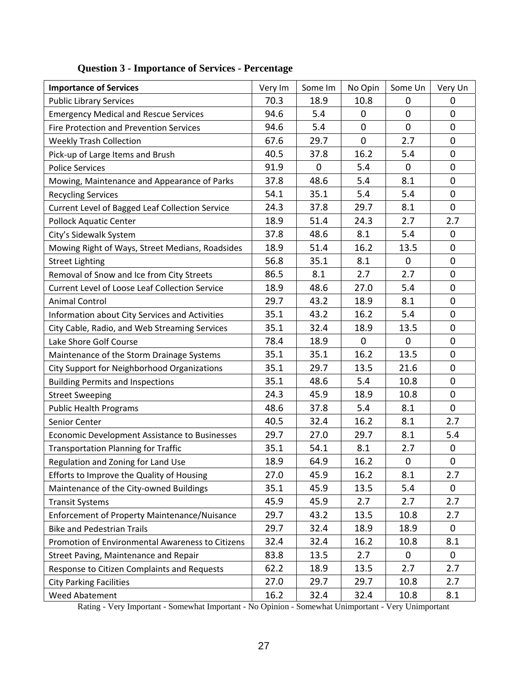| <b>Importance of Services</b>                         | Very Im | Some Im     | No Opin        | Some Un      | Very Un          |
|-------------------------------------------------------|---------|-------------|----------------|--------------|------------------|
| <b>Public Library Services</b>                        | 70.3    | 18.9        | 10.8           | 0            | 0                |
| <b>Emergency Medical and Rescue Services</b>          | 94.6    | 5.4         | 0              | $\mathbf 0$  | $\mathbf 0$      |
| <b>Fire Protection and Prevention Services</b>        | 94.6    | 5.4         | $\overline{0}$ | $\mathbf{0}$ | $\mathbf 0$      |
| <b>Weekly Trash Collection</b>                        | 67.6    | 29.7        | $\mathbf 0$    | 2.7          | $\mathbf 0$      |
| Pick-up of Large Items and Brush                      | 40.5    | 37.8        | 16.2           | 5.4          | $\mathbf 0$      |
| <b>Police Services</b>                                | 91.9    | $\mathbf 0$ | 5.4            | $\mathbf 0$  | $\mathbf 0$      |
| Mowing, Maintenance and Appearance of Parks           | 37.8    | 48.6        | 5.4            | 8.1          | 0                |
| <b>Recycling Services</b>                             | 54.1    | 35.1        | 5.4            | 5.4          | $\mathbf 0$      |
| Current Level of Bagged Leaf Collection Service       | 24.3    | 37.8        | 29.7           | 8.1          | $\mathbf 0$      |
| <b>Pollock Aquatic Center</b>                         | 18.9    | 51.4        | 24.3           | 2.7          | 2.7              |
| City's Sidewalk System                                | 37.8    | 48.6        | 8.1            | 5.4          | $\mathbf 0$      |
| Mowing Right of Ways, Street Medians, Roadsides       | 18.9    | 51.4        | 16.2           | 13.5         | $\mathbf 0$      |
| <b>Street Lighting</b>                                | 56.8    | 35.1        | 8.1            | $\mathbf 0$  | $\mathbf 0$      |
| Removal of Snow and Ice from City Streets             | 86.5    | 8.1         | 2.7            | 2.7          | $\mathbf 0$      |
| <b>Current Level of Loose Leaf Collection Service</b> | 18.9    | 48.6        | 27.0           | 5.4          | $\mathbf 0$      |
| <b>Animal Control</b>                                 | 29.7    | 43.2        | 18.9           | 8.1          | $\mathbf 0$      |
| Information about City Services and Activities        | 35.1    | 43.2        | 16.2           | 5.4          | $\mathbf 0$      |
| City Cable, Radio, and Web Streaming Services         | 35.1    | 32.4        | 18.9           | 13.5         | $\mathbf 0$      |
| Lake Shore Golf Course                                | 78.4    | 18.9        | $\mathbf 0$    | 0            | $\pmb{0}$        |
| Maintenance of the Storm Drainage Systems             | 35.1    | 35.1        | 16.2           | 13.5         | $\mathbf 0$      |
| City Support for Neighborhood Organizations           | 35.1    | 29.7        | 13.5           | 21.6         | $\mathbf 0$      |
| <b>Building Permits and Inspections</b>               | 35.1    | 48.6        | 5.4            | 10.8         | $\mathbf 0$      |
| <b>Street Sweeping</b>                                | 24.3    | 45.9        | 18.9           | 10.8         | $\overline{0}$   |
| <b>Public Health Programs</b>                         | 48.6    | 37.8        | 5.4            | 8.1          | $\mathbf 0$      |
| Senior Center                                         | 40.5    | 32.4        | 16.2           | 8.1          | 2.7              |
| Economic Development Assistance to Businesses         | 29.7    | 27.0        | 29.7           | 8.1          | 5.4              |
| <b>Transportation Planning for Traffic</b>            | 35.1    | 54.1        | 8.1            | 2.7          | $\mathbf 0$      |
| Regulation and Zoning for Land Use                    | 18.9    | 64.9        | 16.2           | $\mathbf 0$  | $\boldsymbol{0}$ |
| Efforts to Improve the Quality of Housing             | 27.0    | 45.9        | 16.2           | 8.1          | 2.7              |
| Maintenance of the City-owned Buildings               | 35.1    | 45.9        | 13.5           | 5.4          | 0                |
| <b>Transit Systems</b>                                | 45.9    | 45.9        | 2.7            | 2.7          | 2.7              |
| Enforcement of Property Maintenance/Nuisance          | 29.7    | 43.2        | 13.5           | 10.8         | 2.7              |
| <b>Bike and Pedestrian Trails</b>                     | 29.7    | 32.4        | 18.9           | 18.9         | 0                |
| Promotion of Environmental Awareness to Citizens      | 32.4    | 32.4        | 16.2           | 10.8         | 8.1              |
| Street Paving, Maintenance and Repair                 | 83.8    | 13.5        | 2.7            | $\mathbf{0}$ | $\mathbf 0$      |
| Response to Citizen Complaints and Requests           | 62.2    | 18.9        | 13.5           | 2.7          | 2.7              |
| <b>City Parking Facilities</b>                        | 27.0    | 29.7        | 29.7           | 10.8         | 2.7              |
| Weed Abatement                                        | 16.2    | 32.4        | 32.4           | 10.8         | 8.1              |

# **Question 3 - Importance of Services - Percentage**

Rating - Very Important - Somewhat Important - No Opinion - Somewhat Unimportant - Very Unimportant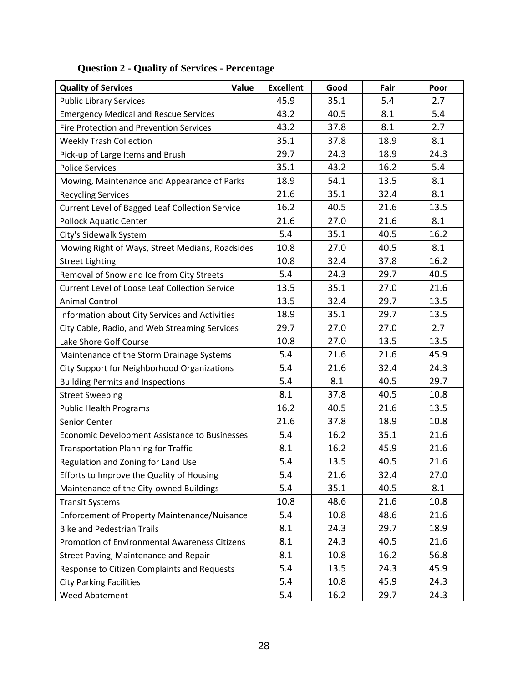| <b>Quality of Services</b><br>Value                   | <b>Excellent</b> | Good | Fair | Poor |
|-------------------------------------------------------|------------------|------|------|------|
| <b>Public Library Services</b>                        | 45.9             | 35.1 | 5.4  | 2.7  |
| <b>Emergency Medical and Rescue Services</b>          | 43.2             | 40.5 | 8.1  | 5.4  |
| <b>Fire Protection and Prevention Services</b>        | 43.2             | 37.8 | 8.1  | 2.7  |
| <b>Weekly Trash Collection</b>                        | 35.1             | 37.8 | 18.9 | 8.1  |
| Pick-up of Large Items and Brush                      | 29.7             | 24.3 | 18.9 | 24.3 |
| <b>Police Services</b>                                | 35.1             | 43.2 | 16.2 | 5.4  |
| Mowing, Maintenance and Appearance of Parks           | 18.9             | 54.1 | 13.5 | 8.1  |
| <b>Recycling Services</b>                             | 21.6             | 35.1 | 32.4 | 8.1  |
| Current Level of Bagged Leaf Collection Service       | 16.2             | 40.5 | 21.6 | 13.5 |
| <b>Pollock Aquatic Center</b>                         | 21.6             | 27.0 | 21.6 | 8.1  |
| City's Sidewalk System                                | 5.4              | 35.1 | 40.5 | 16.2 |
| Mowing Right of Ways, Street Medians, Roadsides       | 10.8             | 27.0 | 40.5 | 8.1  |
| <b>Street Lighting</b>                                | 10.8             | 32.4 | 37.8 | 16.2 |
| Removal of Snow and Ice from City Streets             | 5.4              | 24.3 | 29.7 | 40.5 |
| <b>Current Level of Loose Leaf Collection Service</b> | 13.5             | 35.1 | 27.0 | 21.6 |
| <b>Animal Control</b>                                 | 13.5             | 32.4 | 29.7 | 13.5 |
| Information about City Services and Activities        | 18.9             | 35.1 | 29.7 | 13.5 |
| City Cable, Radio, and Web Streaming Services         | 29.7             | 27.0 | 27.0 | 2.7  |
| Lake Shore Golf Course                                | 10.8             | 27.0 | 13.5 | 13.5 |
| Maintenance of the Storm Drainage Systems             | 5.4              | 21.6 | 21.6 | 45.9 |
| City Support for Neighborhood Organizations           | 5.4              | 21.6 | 32.4 | 24.3 |
| <b>Building Permits and Inspections</b>               | 5.4              | 8.1  | 40.5 | 29.7 |
| <b>Street Sweeping</b>                                | 8.1              | 37.8 | 40.5 | 10.8 |
| <b>Public Health Programs</b>                         | 16.2             | 40.5 | 21.6 | 13.5 |
| Senior Center                                         | 21.6             | 37.8 | 18.9 | 10.8 |
| Economic Development Assistance to Businesses         | 5.4              | 16.2 | 35.1 | 21.6 |
| <b>Transportation Planning for Traffic</b>            | 8.1              | 16.2 | 45.9 | 21.6 |
| Regulation and Zoning for Land Use                    | 5.4              | 13.5 | 40.5 | 21.6 |
| Efforts to Improve the Quality of Housing             | 5.4              | 21.6 | 32.4 | 27.0 |
| Maintenance of the City-owned Buildings               | 5.4              | 35.1 | 40.5 | 8.1  |
| <b>Transit Systems</b>                                | 10.8             | 48.6 | 21.6 | 10.8 |
| Enforcement of Property Maintenance/Nuisance          | 5.4              | 10.8 | 48.6 | 21.6 |
| <b>Bike and Pedestrian Trails</b>                     | 8.1              | 24.3 | 29.7 | 18.9 |
| Promotion of Environmental Awareness Citizens         | 8.1              | 24.3 | 40.5 | 21.6 |
| Street Paving, Maintenance and Repair                 | 8.1              | 10.8 | 16.2 | 56.8 |
| Response to Citizen Complaints and Requests           | 5.4              | 13.5 | 24.3 | 45.9 |
| <b>City Parking Facilities</b>                        | 5.4              | 10.8 | 45.9 | 24.3 |
| Weed Abatement                                        | 5.4              | 16.2 | 29.7 | 24.3 |

# **Question 2 - Quality of Services - Percentage**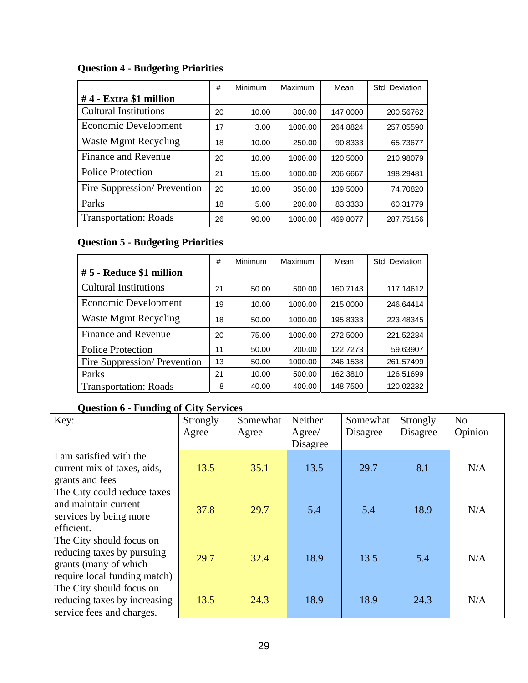# **Question 4 - Budgeting Priorities**

|                              | #  | Minimum | Maximum | Mean     | Std. Deviation |
|------------------------------|----|---------|---------|----------|----------------|
| #4 - Extra \$1 million       |    |         |         |          |                |
| <b>Cultural Institutions</b> | 20 | 10.00   | 800.00  | 147.0000 | 200.56762      |
| Economic Development         | 17 | 3.00    | 1000.00 | 264.8824 | 257.05590      |
| <b>Waste Mgmt Recycling</b>  | 18 | 10.00   | 250.00  | 90.8333  | 65.73677       |
| Finance and Revenue          | 20 | 10.00   | 1000.00 | 120.5000 | 210.98079      |
| Police Protection            | 21 | 15.00   | 1000.00 | 206.6667 | 198.29481      |
| Fire Suppression/Prevention  | 20 | 10.00   | 350.00  | 139,5000 | 74.70820       |
| Parks                        | 18 | 5.00    | 200.00  | 83.3333  | 60.31779       |
| <b>Transportation: Roads</b> | 26 | 90.00   | 1000.00 | 469.8077 | 287.75156      |

# **Question 5 - Budgeting Priorities**

|                              | #  | Minimum | Maximum | Mean     | Std. Deviation |
|------------------------------|----|---------|---------|----------|----------------|
| #5 - Reduce \$1 million      |    |         |         |          |                |
| <b>Cultural Institutions</b> | 21 | 50.00   | 500.00  | 160.7143 | 117.14612      |
| Economic Development         | 19 | 10.00   | 1000.00 | 215.0000 | 246.64414      |
| <b>Waste Mgmt Recycling</b>  | 18 | 50.00   | 1000.00 | 195.8333 | 223.48345      |
| <b>Finance and Revenue</b>   | 20 | 75.00   | 1000.00 | 272,5000 | 221.52284      |
| <b>Police Protection</b>     | 11 | 50.00   | 200.00  | 122.7273 | 59.63907       |
| Fire Suppression/Prevention  | 13 | 50.00   | 1000.00 | 246.1538 | 261.57499      |
| Parks                        | 21 | 10.00   | 500.00  | 162.3810 | 126.51699      |
| <b>Transportation: Roads</b> | 8  | 40.00   | 400.00  | 148.7500 | 120.02232      |

# **Question 6 - Funding of City Services**

| Key:                                                                                                            | Strongly<br>Agree | Somewhat<br>Agree | Neither<br>Agree/<br>Disagree | Somewhat<br>Disagree | Strongly<br>Disagree | N <sub>o</sub><br>Opinion |
|-----------------------------------------------------------------------------------------------------------------|-------------------|-------------------|-------------------------------|----------------------|----------------------|---------------------------|
| I am satisfied with the<br>current mix of taxes, aids,                                                          | 13.5              | 35.1              | 13.5                          | 29.7                 | 8.1                  | N/A                       |
| grants and fees                                                                                                 |                   |                   |                               |                      |                      |                           |
| The City could reduce taxes<br>and maintain current<br>services by being more<br>efficient.                     | 37.8              | 29.7              | 5.4                           | 5.4                  | 18.9                 | N/A                       |
| The City should focus on<br>reducing taxes by pursuing<br>grants (many of which<br>require local funding match) | 29.7              | 32.4              | 18.9                          | 13.5                 | 5.4                  | N/A                       |
| The City should focus on<br>reducing taxes by increasing<br>service fees and charges.                           | 13.5              | 24.3              | 18.9                          | 18.9                 | 24.3                 | N/A                       |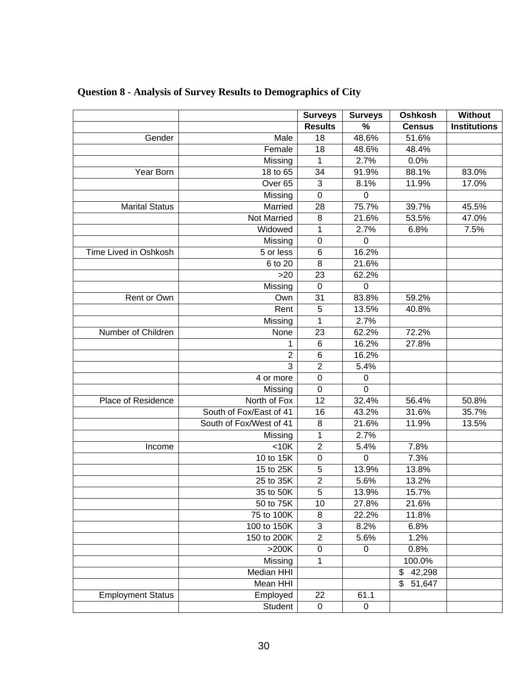|                          |                         | <b>Surveys</b>   | <b>Surveys</b> | Oshkosh                | Without             |
|--------------------------|-------------------------|------------------|----------------|------------------------|---------------------|
|                          |                         | <b>Results</b>   | $\%$           | <b>Census</b>          | <b>Institutions</b> |
| Gender                   | Male                    | 18               | 48.6%          | 51.6%                  |                     |
|                          | Female                  | 18               | 48.6%          | 48.4%                  |                     |
|                          | Missing                 | 1                | 2.7%           | 0.0%                   |                     |
| Year Born                | 18 to 65                | 34               | 91.9%          | 88.1%                  | 83.0%               |
|                          | Over <sub>65</sub>      | 3                | 8.1%           | 11.9%                  | 17.0%               |
|                          | Missing                 | $\mathbf 0$      | $\mathbf 0$    |                        |                     |
| <b>Marital Status</b>    | Married                 | 28               | 75.7%          | 39.7%                  | 45.5%               |
|                          | Not Married             | 8                | 21.6%          | 53.5%                  | 47.0%               |
|                          | Widowed                 | 1                | 2.7%           | 6.8%                   | 7.5%                |
|                          | Missing                 | $\mathbf 0$      | $\overline{0}$ |                        |                     |
| Time Lived in Oshkosh    | 5 or less               | 6                | 16.2%          |                        |                     |
|                          | 6 to 20                 | 8                | 21.6%          |                        |                     |
|                          | >20                     | 23               | 62.2%          |                        |                     |
|                          | Missing                 | $\mathbf 0$      | $\mathbf 0$    |                        |                     |
| Rent or Own              | Own                     | 31               | 83.8%          | 59.2%                  |                     |
|                          | Rent                    | 5                | 13.5%          | 40.8%                  |                     |
|                          | Missing                 | 1                | 2.7%           |                        |                     |
| Number of Children       | None                    | 23               | 62.2%          | 72.2%                  |                     |
|                          | 1                       | 6                | 16.2%          | 27.8%                  |                     |
|                          | $\overline{2}$          | 6                | 16.2%          |                        |                     |
|                          | 3                       | $\overline{2}$   | 5.4%           |                        |                     |
|                          | 4 or more               | $\boldsymbol{0}$ | $\pmb{0}$      |                        |                     |
|                          | Missing                 | $\boldsymbol{0}$ | $\mathbf 0$    |                        |                     |
| Place of Residence       | North of Fox            | $\overline{12}$  | 32.4%          | 56.4%                  | 50.8%               |
|                          | South of Fox/East of 41 | 16               | 43.2%          | 31.6%                  | 35.7%               |
|                          | South of Fox/West of 41 | 8                | 21.6%          | 11.9%                  | 13.5%               |
|                          | Missing                 | 1                | 2.7%           |                        |                     |
| Income                   | <10K                    | $\overline{2}$   | 5.4%           | 7.8%                   |                     |
|                          | 10 to 15K               | $\mathbf 0$      | $\mathbf 0$    | 7.3%                   |                     |
|                          | 15 to 25K               | 5                | 13.9%          | 13.8%                  |                     |
|                          | 25 to 35K               | $\overline{c}$   | 5.6%           | 13.2%                  |                     |
|                          | 35 to 50K               | $\overline{5}$   | 13.9%          | 15.7%                  |                     |
|                          | 50 to 75K               | 10               | 27.8%          | 21.6%                  |                     |
|                          | 75 to 100K              | 8                | 22.2%          | 11.8%                  |                     |
|                          | 100 to 150K             | 3                | 8.2%           | 6.8%                   |                     |
|                          | 150 to 200K             | $\overline{2}$   | 5.6%           | 1.2%                   |                     |
|                          | $>200K$                 | $\pmb{0}$        | $\mathbf 0$    | 0.8%                   |                     |
|                          | Missing                 | 1                |                | 100.0%                 |                     |
|                          | <b>Median HHI</b>       |                  |                | \$<br>42,298           |                     |
|                          | Mean HHI                |                  |                | $\overline{\$}$ 51,647 |                     |
| <b>Employment Status</b> | Employed                | 22               | 61.1           |                        |                     |
|                          | Student                 | $\pmb{0}$        | $\mathbf 0$    |                        |                     |

# **Question 8 - Analysis of Survey Results to Demographics of City**